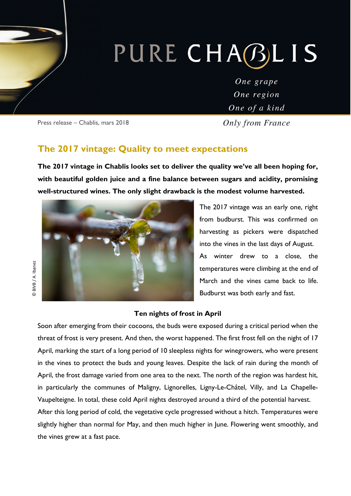# PURE CHABLIS

One grape One region One of a kind

Press release – Chablis, mars 2018

Only from France

### **The 2017 vintage: Quality to meet expectations**

**The 2017 vintage in Chablis looks set to deliver the quality we've all been hoping for, with beautiful golden juice and a fine balance between sugars and acidity, promising well-structured wines. The only slight drawback is the modest volume harvested.** 



The 2017 vintage was an early one, right from budburst. This was confirmed on harvesting as pickers were dispatched into the vines in the last days of August. As winter drew to a close, the temperatures were climbing at the end of March and the vines came back to life. Budburst was both early and fast.

#### **Ten nights of frost in April**

Soon after emerging from their cocoons, the buds were exposed during a critical period when the threat of frost is very present. And then, the worst happened. The first frost fell on the night of 17 April, marking the start of a long period of 10 sleepless nights for winegrowers, who were present in the vines to protect the buds and young leaves. Despite the lack of rain during the month of April, the frost damage varied from one area to the next. The north of the region was hardest hit, in particularly the communes of Maligny, Lignorelles, Ligny-Le-Châtel, Villy, and La Chapelle-Vaupelteigne. In total, these cold April nights destroyed around a third of the potential harvest. After this long period of cold, the vegetative cycle progressed without a hitch. Temperatures were slightly higher than normal for May, and then much higher in June. Flowering went smoothly, and the vines grew at a fast pace.